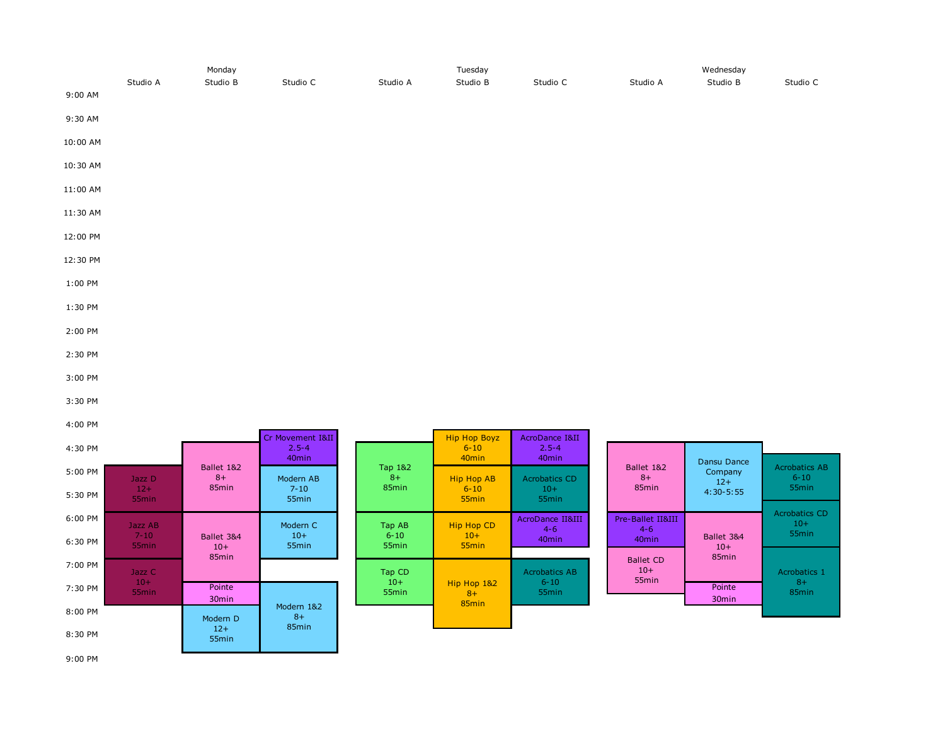|          | Monday   |          |          |          | Tuesday  |          | Wednesday |          |          |  |
|----------|----------|----------|----------|----------|----------|----------|-----------|----------|----------|--|
| 9:00 AM  | Studio A | Studio B | Studio C | Studio A | Studio B | Studio C | Studio A  | Studio B | Studio C |  |
| 9:30 AM  |          |          |          |          |          |          |           |          |          |  |
| 10:00 AM |          |          |          |          |          |          |           |          |          |  |
| 10:30 AM |          |          |          |          |          |          |           |          |          |  |
| 11:00 AM |          |          |          |          |          |          |           |          |          |  |
| 11:30 AM |          |          |          |          |          |          |           |          |          |  |
| 12:00 PM |          |          |          |          |          |          |           |          |          |  |
| 12:30 PM |          |          |          |          |          |          |           |          |          |  |
| 1:00 PM  |          |          |          |          |          |          |           |          |          |  |
| 1:30 PM  |          |          |          |          |          |          |           |          |          |  |
| 2:00 PM  |          |          |          |          |          |          |           |          |          |  |
| 2:30 PM  |          |          |          |          |          |          |           |          |          |  |
| 3:00 PM  |          |          |          |          |          |          |           |          |          |  |

- 3:30 PM
- 4:00 PM

| Ballet 1&2<br>5:00 PM<br>$8+$<br>Modern AB<br>Jazz D<br>85 <sub>min</sub><br>$7 - 10$<br>$12+$<br>5:30 PM |  |  |  |
|-----------------------------------------------------------------------------------------------------------|--|--|--|
|                                                                                                           |  |  |  |
| 55 <sub>min</sub><br>55 <sub>min</sub>                                                                    |  |  |  |
| 6:00 PM<br>Modern C<br>Jazz AB                                                                            |  |  |  |
| $7 - 10$<br>$10+$<br>Ballet 3&4<br>6:30 PM<br>55 <sub>min</sub><br>55 <sub>min</sub><br>$10+$<br>85min    |  |  |  |
| $7:00$ PM<br>Jazz C                                                                                       |  |  |  |
| $10+$<br>Pointe<br>7:30 PM<br>55 <sub>min</sub><br>30 <sub>min</sub>                                      |  |  |  |
| Modern 1&2<br>8:00 PM<br>$8+$<br>Modern D                                                                 |  |  |  |
| 85 <sub>min</sub><br>$12+$<br>8:30 PM<br>55 <sub>min</sub>                                                |  |  |  |

| <b>Acrobatics CD</b><br>$10+$<br>55 <sub>min</sub>          |
|-------------------------------------------------------------|
|                                                             |
| <b>AcroDance II&amp;III</b><br>$4 - 6$<br>40 <sub>min</sub> |
| <b>Acrobatics AB</b><br>$6 - 10$<br>55 <sub>min</sub>       |
| Hip Hop 1&2                                                 |

| Ballet 1&2<br>$8+$<br>85 <sub>min</sub>        | Dansu Dance<br>Company<br>$12+$<br>$4:30 - 5:55$ | <b>Acrobatics AB</b><br>$6 - 10$<br>55 <sub>min</sub> |  |  |
|------------------------------------------------|--------------------------------------------------|-------------------------------------------------------|--|--|
|                                                |                                                  |                                                       |  |  |
| Pre-Ballet II&III<br>4-6<br>40 <sub>min</sub>  | Ballet 3&4<br>$10+$                              | <b>Acrobatics CD</b><br>$10+$<br>55 <sub>min</sub>    |  |  |
| <b>Ballet CD</b><br>$10+$<br>55 <sub>min</sub> | 85 <sub>min</sub>                                | Acrobatics 1                                          |  |  |
|                                                | Pointe                                           | 8+<br>85min                                           |  |  |
|                                                | 30 <sub>min</sub>                                |                                                       |  |  |
|                                                |                                                  |                                                       |  |  |

9:00 PM